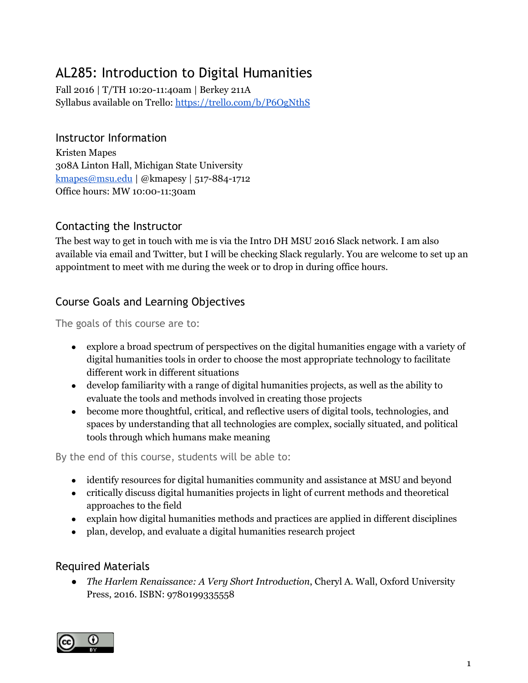# AL285: Introduction to Digital Humanities

Fall 2016 | T/TH 10:20-11:40am | Berkey 211A Syllabus available on Trello:<https://trello.com/b/P6OgNthS>

### Instructor Information

Kristen Mapes 308A Linton Hall, Michigan State University [kmapes@msu.edu](mailto:kmapes@msu.edu) | @kmapesy | 517-884-1712 Office hours: MW 10:00-11:30am

### Contacting the Instructor

The best way to get in touch with me is via the Intro DH MSU 2016 Slack network. I am also available via email and Twitter, but I will be checking Slack regularly. You are welcome to set up an appointment to meet with me during the week or to drop in during office hours.

# Course Goals and Learning Objectives

The goals of this course are to:

- explore a broad spectrum of perspectives on the digital humanities engage with a variety of digital humanities tools in order to choose the most appropriate technology to facilitate different work in different situations
- develop familiarity with a range of digital humanities projects, as well as the ability to evaluate the tools and methods involved in creating those projects
- become more thoughtful, critical, and reflective users of digital tools, technologies, and spaces by understanding that all technologies are complex, socially situated, and political tools through which humans make meaning

By the end of this course, students will be able to:

- identify resources for digital humanities community and assistance at MSU and beyond
- critically discuss digital humanities projects in light of current methods and theoretical approaches to the field
- explain how digital humanities methods and practices are applied in different disciplines
- plan, develop, and evaluate a digital humanities research project

### Required Materials

*● The Harlem Renaissance: A Very Short Introduction*, Cheryl A. Wall, Oxford University Press, 2016. ISBN: 9780199335558

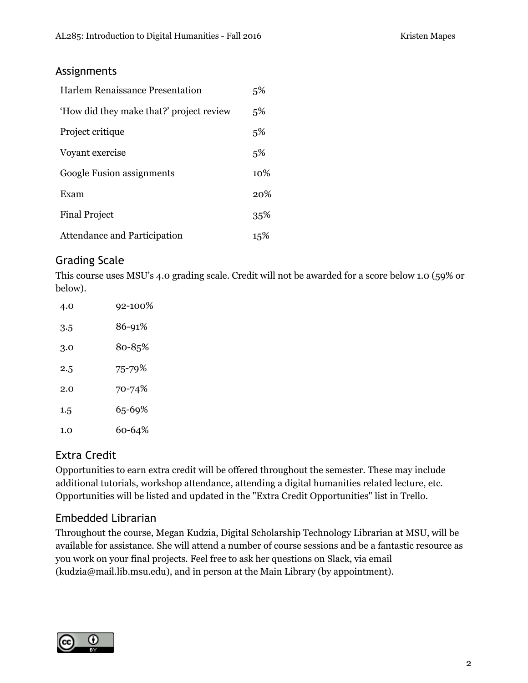### Assignments

| Harlem Renaissance Presentation          | 5%     |
|------------------------------------------|--------|
| 'How did they make that?' project review | 5%     |
| Project critique                         | 5%     |
| Voyant exercise                          | 5%     |
| Google Fusion assignments                | $10\%$ |
| Exam                                     | 20%    |
| <b>Final Project</b>                     | 35%    |
| Attendance and Participation             | 15%    |

# Grading Scale

This course uses MSU's 4.0 grading scale. Credit will not be awarded for a score below 1.0 (59% or below).

| 4.0 | 92-100% |
|-----|---------|
| 3.5 | 86-91%  |
| 3.0 | 80-85%  |
| 2.5 | 75-79%  |
| 2.0 | 70-74%  |
| 1.5 | 65-69%  |
| 1.0 | 60-64%  |

### Extra Credit

Opportunities to earn extra credit will be offered throughout the semester. These may include additional tutorials, workshop attendance, attending a digital humanities related lecture, etc. Opportunities will be listed and updated in the "Extra Credit Opportunities" list in Trello.

# Embedded Librarian

Throughout the course, Megan Kudzia, Digital Scholarship Technology Librarian at MSU, will be available for assistance. She will attend a number of course sessions and be a fantastic resource as you work on your final projects. Feel free to ask her questions on Slack, via email (kudzia@mail.lib.msu.edu), and in person at the Main Library (by appointment).

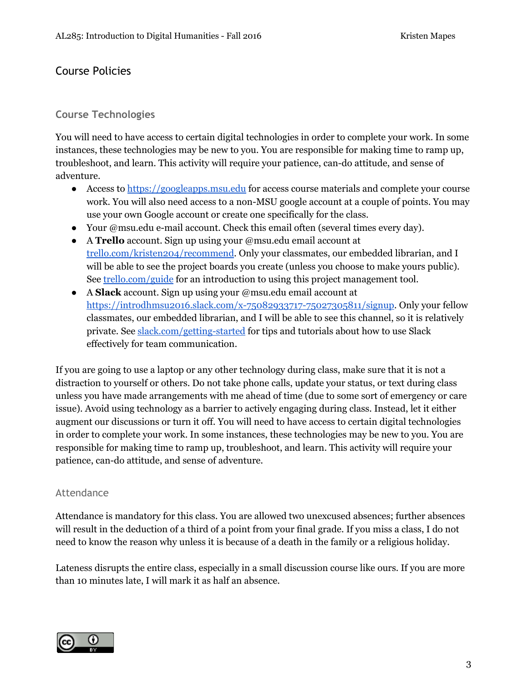### Course Policies

#### **Course Technologies**

You will need to have access to certain digital technologies in order to complete your work. In some instances, these technologies may be new to you. You are responsible for making time to ramp up, troubleshoot, and learn. This activity will require your patience, can-do attitude, and sense of adventure.

- Access to [https://googleapps.msu.edu](https://googleapps.msu.edu/) for access course materials and complete your course work. You will also need access to a non-MSU google account at a couple of points. You may use your own Google account or create one specifically for the class.
- Your @msu.edu e-mail account. Check this email often (several times every day).
- A **Trello** account. Sign up using your @msu.edu email account at [trello.com/kristen204/recommend.](https://trello.com/kristen204/recommend) Only your classmates, our embedded librarian, and I will be able to see the project boards you create (unless you choose to make yours public). See [trello.com/guide](https://trello.com/guide) for an introduction to using this project management tool.
- A **Slack** account. Sign up using your @msu.edu email account at [https://introdhmsu2016.slack.com/x-75082933717-75027305811/signup.](https://introdhmsu2016.slack.com/x-75082933717-75027305811/signup) Only your fellow classmates, our embedded librarian, and I will be able to see this channel, so it is relatively private. See [slack.com/getting-started](http://slack.com/getting-started) for tips and tutorials about how to use Slack effectively for team communication.

If you are going to use a laptop or any other technology during class, make sure that it is not a distraction to yourself or others. Do not take phone calls, update your status, or text during class unless you have made arrangements with me ahead of time (due to some sort of emergency or care issue). Avoid using technology as a barrier to actively engaging during class. Instead, let it either augment our discussions or turn it off. You will need to have access to certain digital technologies in order to complete your work. In some instances, these technologies may be new to you. You are responsible for making time to ramp up, troubleshoot, and learn. This activity will require your patience, can-do attitude, and sense of adventure.

#### Attendance

Attendance is mandatory for this class. You are allowed two unexcused absences; further absences will result in the deduction of a third of a point from your final grade. If you miss a class, I do not need to know the reason why unless it is because of a death in the family or a religious holiday.

Lateness disrupts the entire class, especially in a small discussion course like ours. If you are more than 10 minutes late, I will mark it as half an absence.

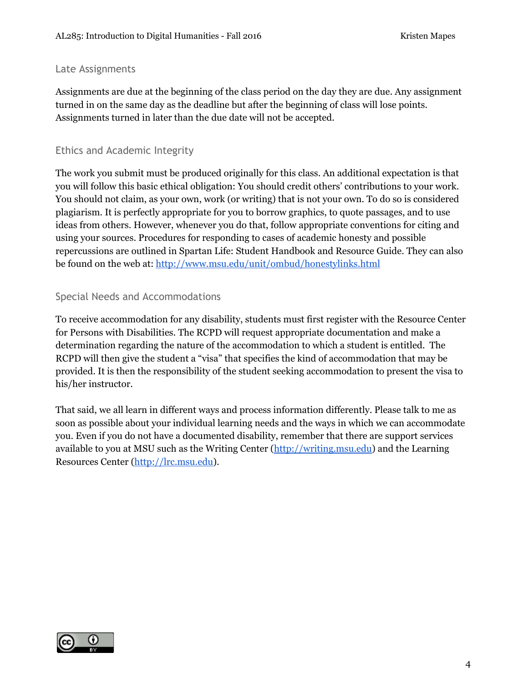#### Late Assignments

Assignments are due at the beginning of the class period on the day they are due. Any assignment turned in on the same day as the deadline but after the beginning of class will lose points. Assignments turned in later than the due date will not be accepted.

#### Ethics and Academic Integrity

The work you submit must be produced originally for this class. An additional expectation is that you will follow this basic ethical obligation: You should credit others' contributions to your work. You should not claim, as your own, work (or writing) that is not your own. To do so is considered plagiarism. It is perfectly appropriate for you to borrow graphics, to quote passages, and to use ideas from others. However, whenever you do that, follow appropriate conventions for citing and using your sources. Procedures for responding to cases of academic honesty and possible repercussions are outlined in Spartan Life: Student Handbook and Resource Guide. They can also be found on the web at: <http://www.msu.edu/unit/ombud/honestylinks.html>

### Special Needs and Accommodations

To receive accommodation for any disability, students must first register with the Resource Center for Persons with Disabilities. The RCPD will request appropriate documentation and make a determination regarding the nature of the accommodation to which a student is entitled. The RCPD will then give the student a "visa" that specifies the kind of accommodation that may be provided. It is then the responsibility of the student seeking accommodation to present the visa to his/her instructor.

That said, we all learn in different ways and process information differently. Please talk to me as soon as possible about your individual learning needs and the ways in which we can accommodate you. Even if you do not have a documented disability, remember that there are support services available to you at MSU such as the Writing Center [\(http://writing.msu.edu\)](http://writing.msu.edu/) and the Learning Resources Center [\(http://lrc.msu.edu\)](http://lrc.msu.edu/).

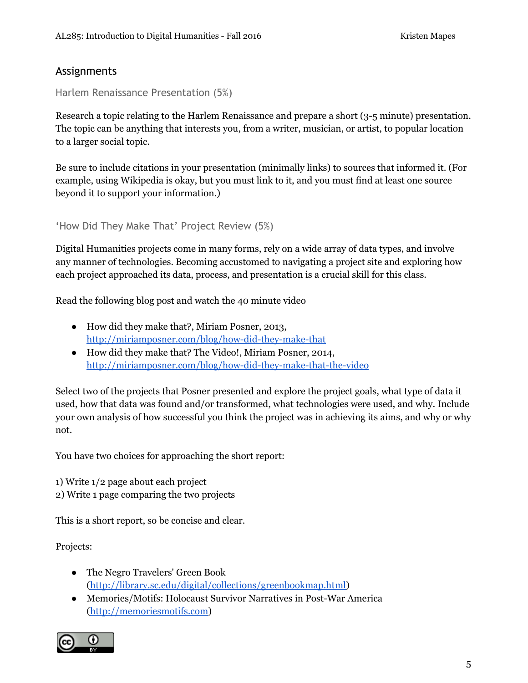### Assignments

Harlem Renaissance Presentation (5%)

Research a topic relating to the Harlem Renaissance and prepare a short (3-5 minute) presentation. The topic can be anything that interests you, from a writer, musician, or artist, to popular location to a larger social topic.

Be sure to include citations in your presentation (minimally links) to sources that informed it. (For example, using Wikipedia is okay, but you must link to it, and you must find at least one source beyond it to support your information.)

'How Did They Make That' Project Review (5%)

Digital Humanities projects come in many forms, rely on a wide array of data types, and involve any manner of technologies. Becoming accustomed to navigating a project site and exploring how each project approached its data, process, and presentation is a crucial skill for this class.

Read the following blog post and watch the 40 minute video

- How did they make that?, Miriam Posner, 2013, <http://miriamposner.com/blog/how-did-they-make-that>
- How did they make that? The Video!, Miriam Posner, 2014, <http://miriamposner.com/blog/how-did-they-make-that-the-video>

Select two of the projects that Posner presented and explore the project goals, what type of data it used, how that data was found and/or transformed, what technologies were used, and why. Include your own analysis of how successful you think the project was in achieving its aims, and why or why not.

You have two choices for approaching the short report:

1) Write 1/2 page about each project

2) Write 1 page comparing the two projects

This is a short report, so be concise and clear.

Projects:

- The Negro Travelers' Green Book [\(http://library.sc.edu/digital/collections/greenbookmap.html\)](http://library.sc.edu/digital/collections/greenbookmap.html)
- Memories/Motifs: Holocaust Survivor Narratives in Post-War America [\(http://memoriesmotifs.com\)](http://memoriesmotifs.com/)

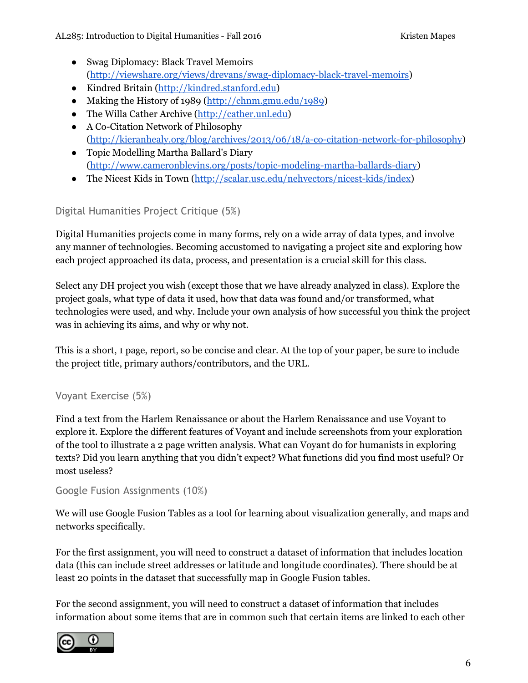- Swag Diplomacy: Black Travel Memoirs [\(http://viewshare.org/views/drevans/swag-diplomacy-black-travel-memoirs\)](http://viewshare.org/views/drevans/swag-diplomacy-black-travel-memoirs)
- Kindred Britain [\(http://kindred.stanford.edu\)](http://kindred.stanford.edu/)
- Making the History of 1989 [\(http://chnm.gmu.edu/1989\)](http://chnm.gmu.edu/1989)
- The Willa Cather Archive [\(http://cather.unl.edu\)](http://cather.unl.edu/)
- A Co-Citation Network of Philosophy [\(http://kieranhealy.org/blog/archives/2013/06/18/a-co-citation-network-for-philosophy\)](http://kieranhealy.org/blog/archives/2013/06/18/a-co-citation-network-for-philosophy)
- Topic Modelling Martha Ballard's Diary [\(http://www.cameronblevins.org/posts/topic-modeling-martha-ballards-diary\)](http://www.cameronblevins.org/posts/topic-modeling-martha-ballards-diary)
- The Nicest Kids in Town ([http://scalar.usc.edu/nehvectors/nicest-kids/index\)](http://scalar.usc.edu/nehvectors/nicest-kids/index)

# Digital Humanities Project Critique (5%)

Digital Humanities projects come in many forms, rely on a wide array of data types, and involve any manner of technologies. Becoming accustomed to navigating a project site and exploring how each project approached its data, process, and presentation is a crucial skill for this class.

Select any DH project you wish (except those that we have already analyzed in class). Explore the project goals, what type of data it used, how that data was found and/or transformed, what technologies were used, and why. Include your own analysis of how successful you think the project was in achieving its aims, and why or why not.

This is a short, 1 page, report, so be concise and clear. At the top of your paper, be sure to include the project title, primary authors/contributors, and the URL.

### Voyant Exercise (5%)

Find a text from the Harlem Renaissance or about the Harlem Renaissance and use Voyant to explore it. Explore the different features of Voyant and include screenshots from your exploration of the tool to illustrate a 2 page written analysis. What can Voyant do for humanists in exploring texts? Did you learn anything that you didn't expect? What functions did you find most useful? Or most useless?

### Google Fusion Assignments (10%)

We will use Google Fusion Tables as a tool for learning about visualization generally, and maps and networks specifically.

For the first assignment, you will need to construct a dataset of information that includes location data (this can include street addresses or latitude and longitude coordinates). There should be at least 20 points in the dataset that successfully map in Google Fusion tables.

For the second assignment, you will need to construct a dataset of information that includes information about some items that are in common such that certain items are linked to each other

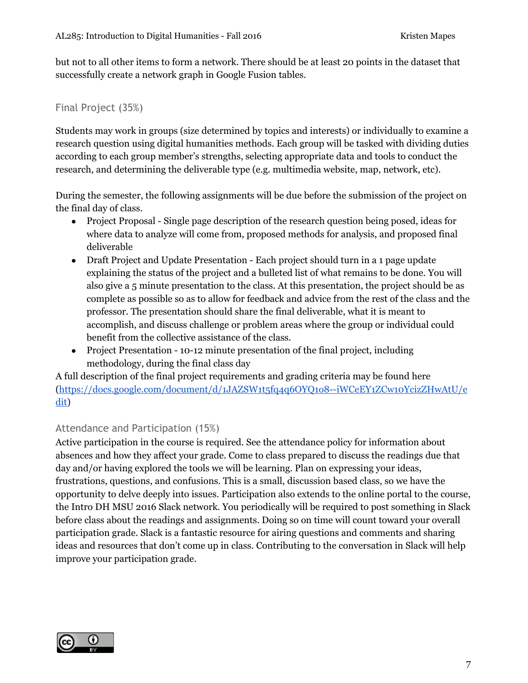but not to all other items to form a network. There should be at least 20 points in the dataset that successfully create a network graph in Google Fusion tables.

#### Final Project (35%)

Students may work in groups (size determined by topics and interests) or individually to examine a research question using digital humanities methods. Each group will be tasked with dividing duties according to each group member's strengths, selecting appropriate data and tools to conduct the research, and determining the deliverable type (e.g. multimedia website, map, network, etc).

During the semester, the following assignments will be due before the submission of the project on the final day of class.

- Project Proposal Single page description of the research question being posed, ideas for where data to analyze will come from, proposed methods for analysis, and proposed final deliverable
- Draft Project and Update Presentation Each project should turn in a 1 page update explaining the status of the project and a bulleted list of what remains to be done. You will also give a 5 minute presentation to the class. At this presentation, the project should be as complete as possible so as to allow for feedback and advice from the rest of the class and the professor. The presentation should share the final deliverable, what it is meant to accomplish, and discuss challenge or problem areas where the group or individual could benefit from the collective assistance of the class.
- Project Presentation 10-12 minute presentation of the final project, including methodology, during the final class day

A full description of the final project requirements and grading criteria may be found here [\(https://docs.google.com/document/d/1JAZSW1t5fq4q6OYQ1o8--iWCeEY1ZCw10YcizZHwAtU/e](https://docs.google.com/document/d/1JAZSW1t5fq4q6OYQ1o8--iWCeEY1ZCw10YcizZHwAtU/edit) [dit\)](https://docs.google.com/document/d/1JAZSW1t5fq4q6OYQ1o8--iWCeEY1ZCw10YcizZHwAtU/edit)

#### Attendance and Participation (15%)

Active participation in the course is required. See the attendance policy for information about absences and how they affect your grade. Come to class prepared to discuss the readings due that day and/or having explored the tools we will be learning. Plan on expressing your ideas, frustrations, questions, and confusions. This is a small, discussion based class, so we have the opportunity to delve deeply into issues. Participation also extends to the online portal to the course, the Intro DH MSU 2016 Slack network. You periodically will be required to post something in Slack before class about the readings and assignments. Doing so on time will count toward your overall participation grade. Slack is a fantastic resource for airing questions and comments and sharing ideas and resources that don't come up in class. Contributing to the conversation in Slack will help improve your participation grade.

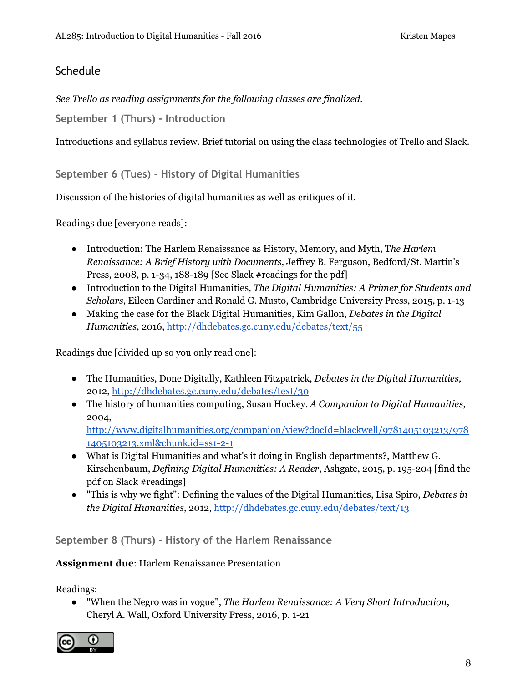### **Schedule**

*See Trello as reading assignments for the following classes are finalized.*

**September 1 (Thurs) - Introduction**

Introductions and syllabus review. Brief tutorial on using the class technologies of Trello and Slack.

**September 6 (Tues) - History of Digital Humanities**

Discussion of the histories of digital humanities as well as critiques of it.

Readings due [everyone reads]:

- Introduction: The Harlem Renaissance as History, Memory, and Myth, T*he Harlem Renaissance: A Brief History with Documents*, Jeffrey B. Ferguson, Bedford/St. Martin's Press, 2008, p. 1-34, 188-189 [See Slack #readings for the pdf]
- Introduction to the Digital Humanities, *The Digital Humanities: A Primer for Students and Scholars*, Eileen Gardiner and Ronald G. Musto, Cambridge University Press, 2015, p. 1-13
- Making the case for the Black Digital Humanities, Kim Gallon, *Debates in the Digital Humanities*, 2016, <http://dhdebates.gc.cuny.edu/debates/text/55>

Readings due [divided up so you only read one]:

- The Humanities, Done Digitally, Kathleen Fitzpatrick, *Debates in the Digital Humanities*, 2012, <http://dhdebates.gc.cuny.edu/debates/text/30>
- The history of humanities computing, Susan Hockey, *A Companion to Digital Humanities,* 2004,

[http://www.digitalhumanities.org/companion/view?docId=blackwell/9781405103213/978](http://www.digitalhumanities.org/companion/view?docId=blackwell/9781405103213/9781405103213.xml&chunk.id=ss1-2-1) [1405103213.xml&chunk.id=ss1-2-1](http://www.digitalhumanities.org/companion/view?docId=blackwell/9781405103213/9781405103213.xml&chunk.id=ss1-2-1)

- What is Digital Humanities and what's it doing in English departments?, Matthew G. Kirschenbaum, *Defining Digital Humanities: A Reader*, Ashgate, 2015, p. 195-204 [find the pdf on Slack #readings]
- "This is why we fight": Defining the values of the Digital Humanities, Lisa Spiro, *Debates in the Digital Humanities*, 2012,<http://dhdebates.gc.cuny.edu/debates/text/13>

**September 8 (Thurs) - History of the Harlem Renaissance**

**Assignment due**: Harlem Renaissance Presentation

Readings:

● "When the Negro was in vogue", *The Harlem Renaissance: A Very Short Introduction*, Cheryl A. Wall, Oxford University Press, 2016, p. 1-21

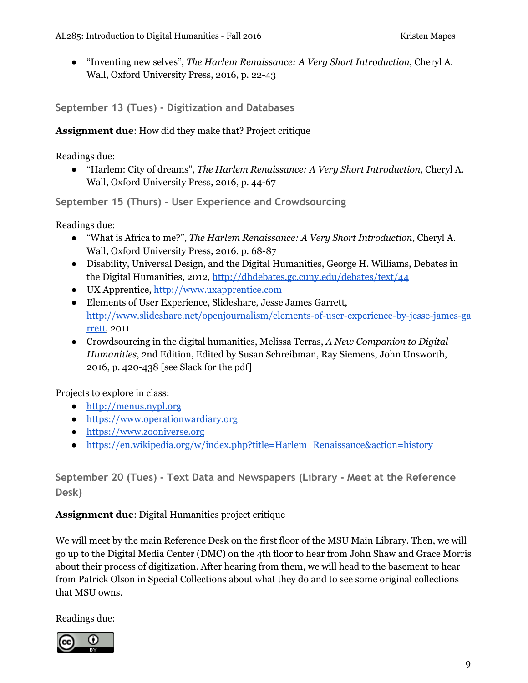● "Inventing new selves", *The Harlem Renaissance: A Very Short Introduction*, Cheryl A. Wall, Oxford University Press, 2016, p. 22-43

**September 13 (Tues) - Digitization and Databases**

**Assignment due**: How did they make that? Project critique

Readings due:

● "Harlem: City of dreams", *The Harlem Renaissance: A Very Short Introduction*, Cheryl A. Wall, Oxford University Press, 2016, p. 44-67

**September 15 (Thurs) - User Experience and Crowdsourcing**

Readings due:

- "What is Africa to me?", *The Harlem Renaissance: A Very Short Introduction*, Cheryl A. Wall, Oxford University Press, 2016, p. 68-87
- Disability, Universal Design, and the Digital Humanities, George H. Williams, Debates in the Digital Humanities, 2012,<http://dhdebates.gc.cuny.edu/debates/text/44>
- UX Apprentice, [http://www.uxapprentice.com](http://www.uxapprentice.com/)
- Elements of User Experience, Slideshare, Jesse James Garrett, [http://www.slideshare.net/openjournalism/elements-of-user-experience-by-jesse-james-ga](http://www.slideshare.net/openjournalism/elements-of-user-experience-by-jesse-james-garrett) [rrett,](http://www.slideshare.net/openjournalism/elements-of-user-experience-by-jesse-james-garrett) 2011
- Crowdsourcing in the digital humanities, Melissa Terras, *A New Companion to Digital Humanities*, 2nd Edition, Edited by Susan Schreibman, Ray Siemens, John Unsworth, 2016, p. 420-438 [see Slack for the pdf]

Projects to explore in class:

- [http://menus.nypl.org](http://menus.nypl.org/)
- [https://www.operationwardiary.org](https://www.operationwardiary.org/)
- [https://www.zooniverse.org](https://www.zooniverse.org/)
- [https://en.wikipedia.org/w/index.php?title=Harlem\\_Renaissance&action=history](https://en.wikipedia.org/w/index.php?title=Harlem_Renaissance&action=history)

**September 20 (Tues) - Text Data and Newspapers (Library - Meet at the Reference Desk)**

**Assignment due**: Digital Humanities project critique

We will meet by the main Reference Desk on the first floor of the MSU Main Library. Then, we will go up to the Digital Media Center (DMC) on the 4th floor to hear from John Shaw and Grace Morris about their process of digitization. After hearing from them, we will head to the basement to hear from Patrick Olson in Special Collections about what they do and to see some original collections that MSU owns.

Readings due:

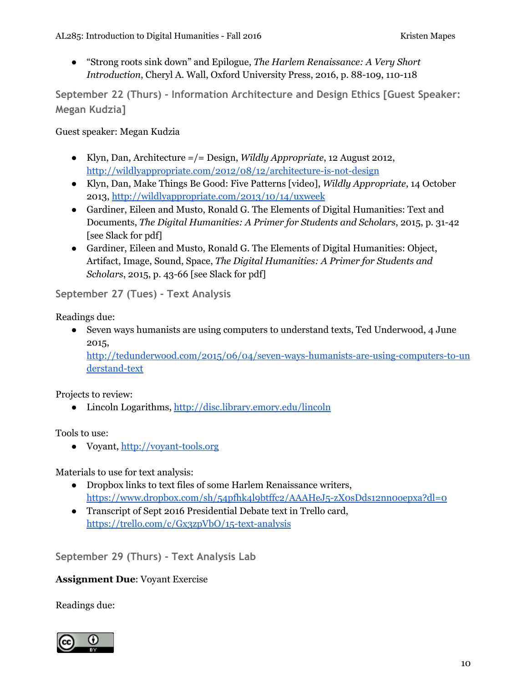● "Strong roots sink down" and Epilogue, *The Harlem Renaissance: A Very Short Introduction*, Cheryl A. Wall, Oxford University Press, 2016, p. 88-109, 110-118

**September 22 (Thurs) - Information Architecture and Design Ethics [Guest Speaker: Megan Kudzia]**

Guest speaker: Megan Kudzia

- Klyn, Dan, Architecture =/= Design, *Wildly Appropriate*, 12 August 2012, [http://wildlyappropriate.com/2012/08/12/architecture-is-not-design](http://wildlyappropriate.com/2012/08/12/architecture-is-not-design/)
- Klyn, Dan, Make Things Be Good: Five Patterns [video], *Wildly Appropriate*, 14 October 2013, <http://wildlyappropriate.com/2013/10/14/uxweek>
- Gardiner, Eileen and Musto, Ronald G. The Elements of Digital Humanities: Text and Documents, *The Digital Humanities: A Primer for Students and Scholars*, 2015, p. 31-42 [see Slack for pdf]
- Gardiner, Eileen and Musto, Ronald G. The Elements of Digital Humanities: Object, Artifact, Image, Sound, Space, *The Digital Humanities: A Primer for Students and Scholars*, 2015, p. 43-66 [see Slack for pdf]

**September 27 (Tues) - Text Analysis**

Readings due:

• Seven ways humanists are using computers to understand texts, Ted Underwood, 4 June 2015,

[http://tedunderwood.com/2015/06/04/seven-ways-humanists-are-using-computers-to-un](http://tedunderwood.com/2015/06/04/seven-ways-humanists-are-using-computers-to-understand-text) [derstand-text](http://tedunderwood.com/2015/06/04/seven-ways-humanists-are-using-computers-to-understand-text)

Projects to review:

● Lincoln Logarithms,<http://disc.library.emory.edu/lincoln>

Tools to use:

● Voyant, [http://voyant-tools.org](http://voyant-tools.org/)

Materials to use for text analysis:

- Dropbox links to text files of some Harlem Renaissance writers, <https://www.dropbox.com/sh/54pfhk4l9btffc2/AAAHeJ5-zX0sDds12nn0oepxa?dl=0>
- Transcript of Sept 2016 Presidential Debate text in Trello card, <https://trello.com/c/Gx3zpVbO/15-text-analysis>

**September 29 (Thurs) - Text Analysis Lab**

#### **Assignment Due**: Voyant Exercise

Readings due:

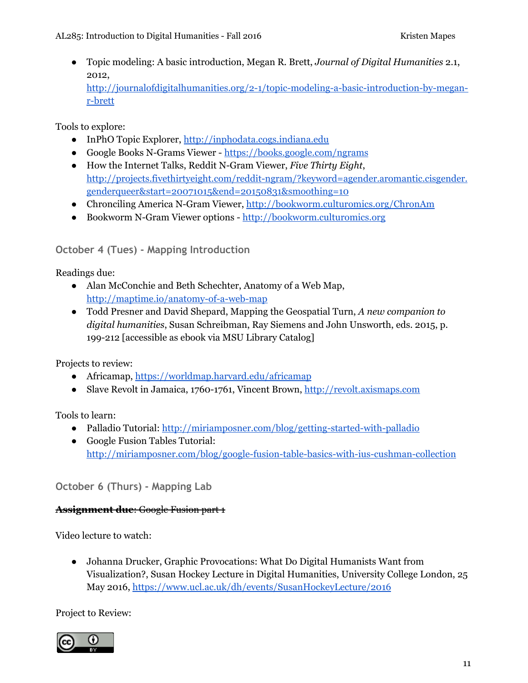● Topic modeling: A basic introduction, Megan R. Brett, *Journal of Digital Humanities* 2.1, 2012, [http://journalofdigitalhumanities.org/2-1/topic-modeling-a-basic-introduction-by-megan](http://journalofdigitalhumanities.org/2-1/topic-modeling-a-basic-introduction-by-megan-r-brett)[r-brett](http://journalofdigitalhumanities.org/2-1/topic-modeling-a-basic-introduction-by-megan-r-brett)

Tools to explore:

- InPhO Topic Explorer, [http://inphodata.cogs.indiana.edu](http://inphodata.cogs.indiana.edu/)
- Google Books N-Grams Viewer -<https://books.google.com/ngrams>
- How the Internet Talks, Reddit N-Gram Viewer, *Five Thirty Eight*, [http://projects.fivethirtyeight.com/reddit-ngram/?keyword=agender.aromantic.cisgender.](http://projects.fivethirtyeight.com/reddit-ngram/?keyword=agender.aromantic.cisgender.genderqueer&start=20071015&end=20150831&smoothing=10) [genderqueer&start=20071015&end=20150831&smoothing=10](http://projects.fivethirtyeight.com/reddit-ngram/?keyword=agender.aromantic.cisgender.genderqueer&start=20071015&end=20150831&smoothing=10)
- Chronciling America N-Gram Viewer, [http://bookworm.culturomics.org/ChronAm](http://bookworm.culturomics.org/ChronAm/)
- Bookworm N-Gram Viewer options - [http://bookworm.culturomics.org](http://bookworm.culturomics.org/)

### **October 4 (Tues) - Mapping Introduction**

Readings due:

- Alan McConchie and Beth Schechter, Anatomy of a Web Map, <http://maptime.io/anatomy-of-a-web-map>
- Todd Presner and David Shepard, Mapping the Geospatial Turn, *A new companion to digital humanities*, Susan Schreibman, Ray Siemens and John Unsworth, eds. 2015, p. 199-212 [accessible as ebook via MSU Library Catalog]

Projects to review:

- Africamap, <https://worldmap.harvard.edu/africamap>
- Slave Revolt in Jamaica, 1760-1761, Vincent Brown, [http://revolt.axismaps.com](http://revolt.axismaps.com/)

Tools to learn:

- Palladio Tutorial: <http://miriamposner.com/blog/getting-started-with-palladio>
- Google Fusion Tables Tutorial: <http://miriamposner.com/blog/google-fusion-table-basics-with-ius-cushman-collection>

**October 6 (Thurs) - Mapping Lab**

#### **Assignment due**: Google Fusion part 1

Video lecture to watch:

● Johanna Drucker, Graphic Provocations: What Do Digital Humanists Want from Visualization?, Susan Hockey Lecture in Digital Humanities, University College London, 25 May 2016,<https://www.ucl.ac.uk/dh/events/SusanHockeyLecture/2016>

Project to Review:

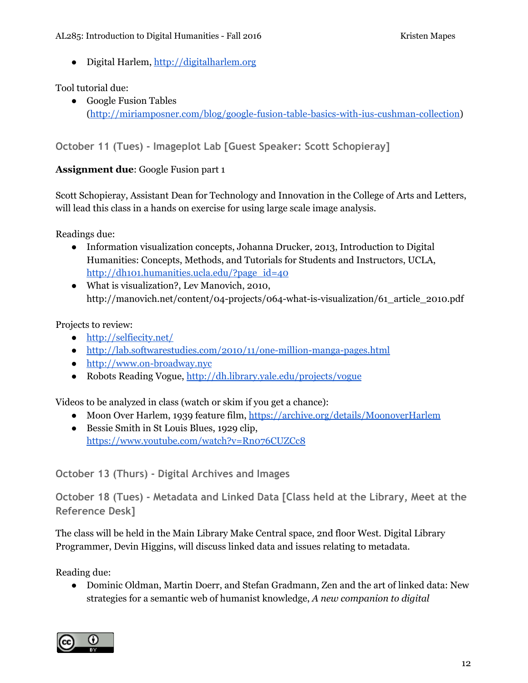● Digital Harlem, [http://digitalharlem.org](http://digitalharlem.org/)

Tool tutorial due:

● Google Fusion Tables [\(http://miriamposner.com/blog/google-fusion-table-basics-with-ius-cushman-collection\)](http://miriamposner.com/blog/google-fusion-table-basics-with-ius-cushman-collection/)

**October 11 (Tues) - Imageplot Lab [Guest Speaker: Scott Schopieray]**

### **Assignment due**: Google Fusion part 1

Scott Schopieray, Assistant Dean for Technology and Innovation in the College of Arts and Letters, will lead this class in a hands on exercise for using large scale image analysis.

Readings due:

- Information visualization concepts, Johanna Drucker, 2013, Introduction to Digital Humanities: Concepts, Methods, and Tutorials for Students and Instructors, UCLA, [http://dh101.humanities.ucla.edu/?page\\_id=40](http://dh101.humanities.ucla.edu/?page_id=40)
- What is visualization?, Lev Manovich, 2010, http://manovich.net/content/04-projects/064-what-is-visualization/61\_article\_2010.pdf

Projects to review:

- <http://selfiecity.net/>
- <http://lab.softwarestudies.com/2010/11/one-million-manga-pages.html>
- [http://www.on-broadway.nyc](http://www.on-broadway.nyc/)
- Robots Reading Vogue,<http://dh.library.yale.edu/projects/vogue>

Videos to be analyzed in class (watch or skim if you get a chance):

- Moon Over Harlem, 1939 feature film,<https://archive.org/details/MoonoverHarlem>
- Bessie Smith in St Louis Blues, 1929 clip, <https://www.youtube.com/watch?v=Rn076CUZCc8>

**October 13 (Thurs) - Digital Archives and Images**

**October 18 (Tues) - Metadata and Linked Data [Class held at the Library, Meet at the Reference Desk]**

The class will be held in the Main Library Make Central space, 2nd floor West. Digital Library Programmer, Devin Higgins, will discuss linked data and issues relating to metadata.

Reading due:

• Dominic Oldman, Martin Doerr, and Stefan Gradmann, Zen and the art of linked data: New strategies for a semantic web of humanist knowledge, *A new companion to digital*

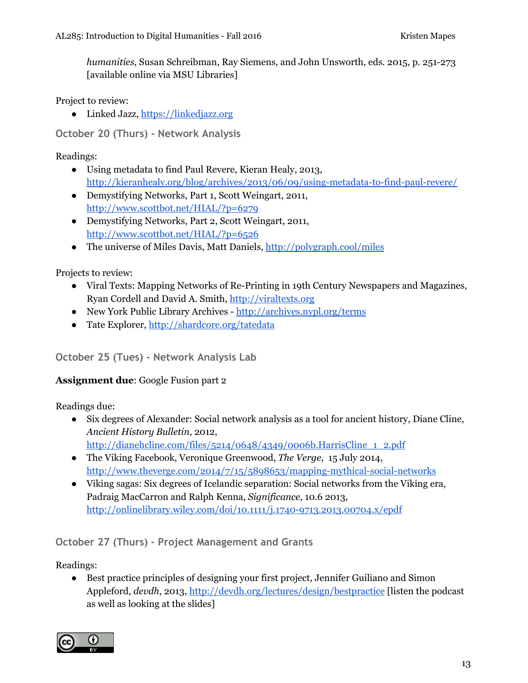*humanities*, Susan Schreibman, Ray Siemens, and John Unsworth, eds. 2015, p. 251-273 [available online via MSU Libraries]

Project to review:

● Linked Jazz, [https://linkedjazz.org](https://linkedjazz.org/)

**October 20 (Thurs) - Network Analysis**

Readings:

- Using metadata to find Paul Revere, Kieran Healy, 2013, <http://kieranhealy.org/blog/archives/2013/06/09/using-metadata-to-find-paul-revere/>
- Demystifying Networks, Part 1, Scott Weingart, 2011, <http://www.scottbot.net/HIAL/?p=6279>
- Demystifying Networks, Part 2, Scott Weingart, 2011, <http://www.scottbot.net/HIAL/?p=6526>
- The universe of Miles Davis, Matt Daniels, [http://polygraph.cool/miles](http://polygraph.cool/miles/)

Projects to review:

- Viral Texts: Mapping Networks of Re-Printing in 19th Century Newspapers and Magazines, Ryan Cordell and David A. Smith, [http://viraltexts.org](http://viraltexts.org/)
- New York Public Library Archives <http://archives.nypl.org/terms>
- Tate Explorer, <http://shardcore.org/tatedata>

#### **October 25 (Tues) - Network Analysis Lab**

#### **Assignment due**: Google Fusion part 2

Readings due:

- Six degrees of Alexander: Social network analysis as a tool for ancient history, Diane Cline, *Ancient History Bulletin*, 2012, [http://dianehcline.com/files/5214/0648/4349/0006b.HarrisCline\\_1\\_2.pdf](http://dianehcline.com/files/5214/0648/4349/0006b.HarrisCline_1_2.pdf)
- The Viking Facebook, Veronique Greenwood, *The Verge*, 15 July 2014, <http://www.theverge.com/2014/7/15/5898653/mapping-mythical-social-networks>
- Viking sagas: Six degrees of Icelandic separation: Social networks from the Viking era, Padraig MacCarron and Ralph Kenna, *Significance*, 10.6 2013, <http://onlinelibrary.wiley.com/doi/10.1111/j.1740-9713.2013.00704.x/epdf>

**October 27 (Thurs) - Project Management and Grants**

Readings:

● Best practice principles of designing your first project, Jennifer Guiliano and Simon Appleford, *devdh*, 2013,<http://devdh.org/lectures/design/bestpractice> [listen the podcast as well as looking at the slides]

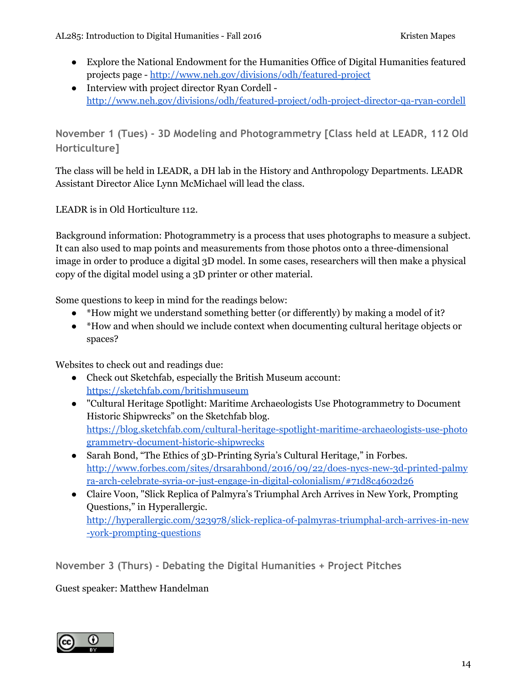- Explore the National Endowment for the Humanities Office of Digital Humanities featured projects page -<http://www.neh.gov/divisions/odh/featured-project>
- Interview with project director Ryan Cordell <http://www.neh.gov/divisions/odh/featured-project/odh-project-director-qa-ryan-cordell>

**November 1 (Tues) - 3D Modeling and Photogrammetry [Class held at LEADR, 112 Old Horticulture]**

The class will be held in LEADR, a DH lab in the History and Anthropology Departments. LEADR Assistant Director Alice Lynn McMichael will lead the class.

LEADR is in Old Horticulture 112.

Background information: Photogrammetry is a process that uses photographs to measure a subject. It can also used to map points and measurements from those photos onto a three-dimensional image in order to produce a digital 3D model. In some cases, researchers will then make a physical copy of the digital model using a 3D printer or other material.

Some questions to keep in mind for the readings below:

- \*How might we understand something better (or differently) by making a model of it?
- \*How and when should we include context when documenting cultural heritage objects or spaces?

Websites to check out and readings due:

- Check out Sketchfab, especially the British Museum account: <https://sketchfab.com/britishmuseum>
- "Cultural Heritage Spotlight: Maritime Archaeologists Use Photogrammetry to Document Historic Shipwrecks" on the Sketchfab blog. [https://blog.sketchfab.com/cultural-heritage-spotlight-maritime-archaeologists-use-photo](https://blog.sketchfab.com/cultural-heritage-spotlight-maritime-archaeologists-use-photogrammetry-document-historic-shipwrecks) [grammetry-document-historic-shipwrecks](https://blog.sketchfab.com/cultural-heritage-spotlight-maritime-archaeologists-use-photogrammetry-document-historic-shipwrecks)
- Sarah Bond, "The Ethics of 3D-Printing Syria's Cultural Heritage," in Forbes. [http://www.forbes.com/sites/drsarahbond/2016/09/22/does-nycs-new-3d-printed-palmy](http://www.forbes.com/sites/drsarahbond/2016/09/22/does-nycs-new-3d-printed-palmyra-arch-celebrate-syria-or-just-engage-in-digital-colonialism/#71d8c4602d26) [ra-arch-celebrate-syria-or-just-engage-in-digital-colonialism/#71d8c4602d26](http://www.forbes.com/sites/drsarahbond/2016/09/22/does-nycs-new-3d-printed-palmyra-arch-celebrate-syria-or-just-engage-in-digital-colonialism/#71d8c4602d26)
- Claire Voon, "Slick Replica of Palmyra's Triumphal Arch Arrives in New York, Prompting Questions," in Hyperallergic. [http://hyperallergic.com/323978/slick-replica-of-palmyras-triumphal-arch-arrives-in-new](http://hyperallergic.com/323978/slick-replica-of-palmyras-triumphal-arch-arrives-in-new-york-prompting-questions) [-york-prompting-questions](http://hyperallergic.com/323978/slick-replica-of-palmyras-triumphal-arch-arrives-in-new-york-prompting-questions)

**November 3 (Thurs) - Debating the Digital Humanities + Project Pitches**

Guest speaker: Matthew Handelman

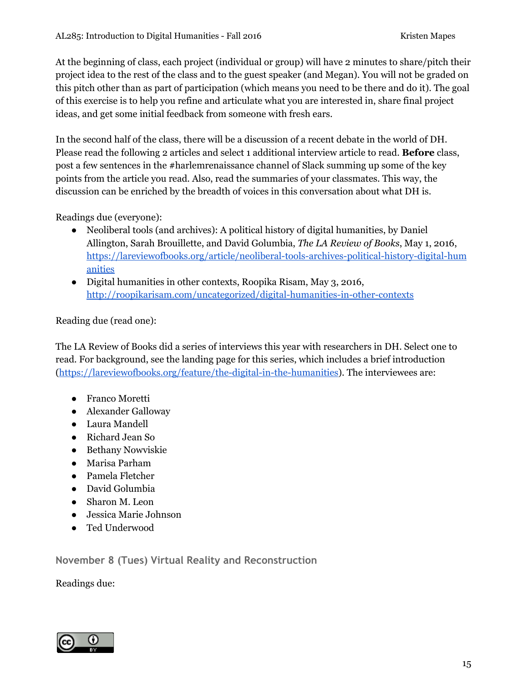At the beginning of class, each project (individual or group) will have 2 minutes to share/pitch their project idea to the rest of the class and to the guest speaker (and Megan). You will not be graded on this pitch other than as part of participation (which means you need to be there and do it). The goal of this exercise is to help you refine and articulate what you are interested in, share final project ideas, and get some initial feedback from someone with fresh ears.

In the second half of the class, there will be a discussion of a recent debate in the world of DH. Please read the following 2 articles and select 1 additional interview article to read. **Before** class, post a few sentences in the #harlemrenaissance channel of Slack summing up some of the key points from the article you read. Also, read the summaries of your classmates. This way, the discussion can be enriched by the breadth of voices in this conversation about what DH is.

Readings due (everyone):

- Neoliberal tools (and archives): A political history of digital humanities, by Daniel Allington, Sarah Brouillette, and David Golumbia, *The LA Review of Books*, May 1, 2016, [https://lareviewofbooks.org/article/neoliberal-tools-archives-political-history-digital-hum](https://lareviewofbooks.org/article/neoliberal-tools-archives-political-history-digital-humanities) [anities](https://lareviewofbooks.org/article/neoliberal-tools-archives-political-history-digital-humanities)
- Digital humanities in other contexts, Roopika Risam, May 3, 2016, <http://roopikarisam.com/uncategorized/digital-humanities-in-other-contexts>

Reading due (read one):

The LA Review of Books did a series of interviews this year with researchers in DH. Select one to read. For background, see the landing page for this series, which includes a brief introduction [\(https://lareviewofbooks.org/feature/the-digital-in-the-humanities\)](https://lareviewofbooks.org/feature/the-digital-in-the-humanities). The interviewees are:

- Franco Moretti
- Alexander Galloway
- Laura Mandell
- Richard Jean So
- Bethany Nowviskie
- Marisa Parham
- Pamela Fletcher
- David Golumbia
- Sharon M. Leon
- Jessica Marie Johnson
- Ted Underwood

**November 8 (Tues) Virtual Reality and Reconstruction**

Readings due:

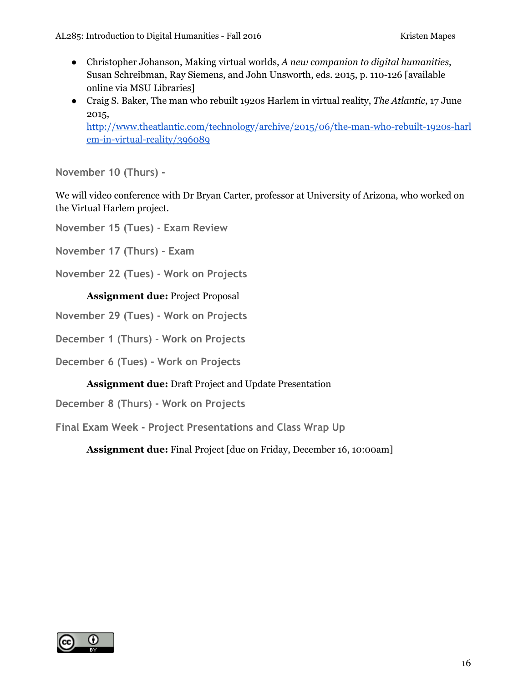- Christopher Johanson, Making virtual worlds, *A new companion to digital humanities*, Susan Schreibman, Ray Siemens, and John Unsworth, eds. 2015, p. 110-126 [available online via MSU Libraries]
- Craig S. Baker, The man who rebuilt 1920s Harlem in virtual reality, *The Atlantic*, 17 June 2015, [http://www.theatlantic.com/technology/archive/2015/06/the-man-who-rebuilt-1920s-harl](http://www.theatlantic.com/technology/archive/2015/06/the-man-who-rebuilt-1920s-harlem-in-virtual-reality/396089)

[em-in-virtual-reality/396089](http://www.theatlantic.com/technology/archive/2015/06/the-man-who-rebuilt-1920s-harlem-in-virtual-reality/396089)

**November 10 (Thurs) -**

We will video conference with Dr Bryan Carter, professor at University of Arizona, who worked on the Virtual Harlem project.

**November 15 (Tues) - Exam Review**

**November 17 (Thurs) - Exam**

**November 22 (Tues) - Work on Projects**

#### **Assignment due:** Project Proposal

- **November 29 (Tues) Work on Projects**
- **December 1 (Thurs) Work on Projects**
- **December 6 (Tues) Work on Projects**

#### **Assignment due:** Draft Project and Update Presentation

**December 8 (Thurs) - Work on Projects**

**Final Exam Week - Project Presentations and Class Wrap Up**

**Assignment due:** Final Project [due on Friday, December 16, 10:00am]